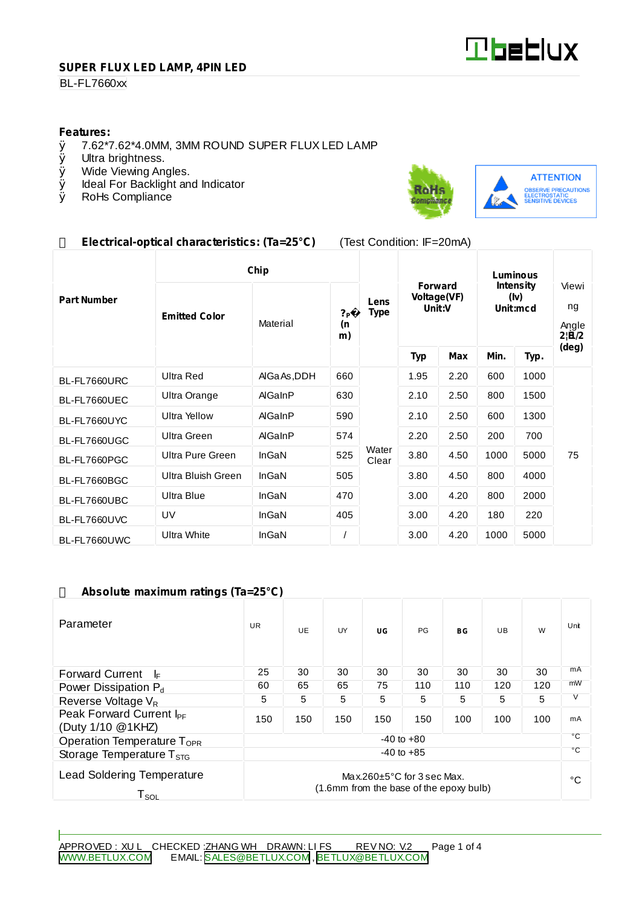

#### **SUPER FLUX LED LAMP, 4PIN LED**

### **BL-FL7660xx**

# **Features:**<br>0 7.62\*7

- $\emptyset$  7.62\*7.62\*4.0MM, 3MM ROUND SUPER FLUX LED LAMP  $\emptyset$  Ultra brightness.
- Ø Ultra brightness.<br>Ø Wide Viewing An
- Wide Viewing Angles.
- Ø Ideal For Backlight and Indicator<br>Ø RoHs Compliance
- RoHs Compliance



## **Electrical-optical characteristics: (Ta=25°C)** (Test Condition: IF=20mA)

|                    | Chip                 |              |                            |                     | Luminous                                |      |                                      |      |                               |
|--------------------|----------------------|--------------|----------------------------|---------------------|-----------------------------------------|------|--------------------------------------|------|-------------------------------|
| <b>Part Number</b> | <b>Emitted Color</b> | Material     | ? <sub>P</sub><br>(n<br>m) | Lens<br><b>Type</b> | <b>Forward</b><br>Voltage(VF)<br>Unit:V |      | <b>Intensity</b><br>(lv)<br>Unit:mcd |      | Viewi<br>ng<br>Angle<br>2 B/2 |
|                    |                      |              |                            |                     | <b>Typ</b>                              | Max  | Min.                                 | Typ. | (deg)                         |
| BL-FL7660URC       | <b>Ultra Red</b>     | AlGaAs, DDH  | 660                        |                     | 1.95                                    | 2.20 | 600                                  | 1000 | 75                            |
| BL-FL7660UEC       | Ultra Orange         | AlGaInP      | 630                        |                     | 2.10                                    | 2.50 | 800                                  | 1500 |                               |
| BL-FL7660UYC       | Ultra Yellow         | AlGaInP      | 590                        |                     | 2.10                                    | 2.50 | 600                                  | 1300 |                               |
| BL-FL7660UGC       | Ultra Green          | AlGaInP      | 574                        |                     | 2.20                                    | 2.50 | 200                                  | 700  |                               |
| BL-FL7660PGC       | Ultra Pure Green     | InGaN        | 525                        | Water<br>Clear      | 3.80                                    | 4.50 | 1000                                 | 5000 |                               |
| BL-FL7660BGC       | Ultra Bluish Green   | InGaN        | 505                        |                     | 3.80                                    | 4.50 | 800                                  | 4000 |                               |
| BL-FL7660UBC       | <b>Ultra Blue</b>    | <b>InGaN</b> | 470                        |                     | 3.00                                    | 4.20 | 800                                  | 2000 |                               |
| BL-FL7660UVC       | UV                   | InGaN        | 405                        |                     | 3.00                                    | 4.20 | 180                                  | 220  |                               |
| BL-FL7660UWC       | <b>Ultra White</b>   | <b>InGaN</b> |                            |                     | 3.00                                    | 4.20 | 1000                                 | 5000 |                               |

#### **Absolute maximum ratings (Ta=25°C)**

| Parameter                                                                                                                               | <b>UR</b> | UE. | UY  | UG  | PG  | BG           | UB  | W   | Unit |
|-----------------------------------------------------------------------------------------------------------------------------------------|-----------|-----|-----|-----|-----|--------------|-----|-----|------|
| <b>Forward Current</b><br>l⊧                                                                                                            | 25        | 30  | 30  | 30  | 30  | 30           | 30  | 30  | mA   |
| Power Dissipation $P_d$                                                                                                                 | 60        | 65  | 65  | 75  | 110 | 110          | 120 | 120 | mW   |
| Reverse Voltage V <sub>R</sub>                                                                                                          | 5         | 5   | 5   | 5   | 5   | 5            | 5   | 5   | V    |
| Peak Forward Current I <sub>PF</sub><br>(Duty 1/10 @1KHZ)                                                                               | 150       | 150 | 150 | 150 | 150 | 100          | 100 | 100 | mA   |
| $-40$ to $+80$<br>Operation Temperature $T_{\text{OPR}}$                                                                                |           |     |     | °C  |     |              |     |     |      |
| $-40$ to $+85$<br>Storage Temperature $T_{STG}$                                                                                         |           |     |     |     |     | $^{\circ}$ C |     |     |      |
| <b>Lead Soldering Temperature</b><br>Max.260 $\pm$ 5°C for 3 sec Max.<br>(1.6mm from the base of the epoxy bulb)<br>${\sf T}_{\sf SOL}$ |           |     |     |     |     |              | °C  |     |      |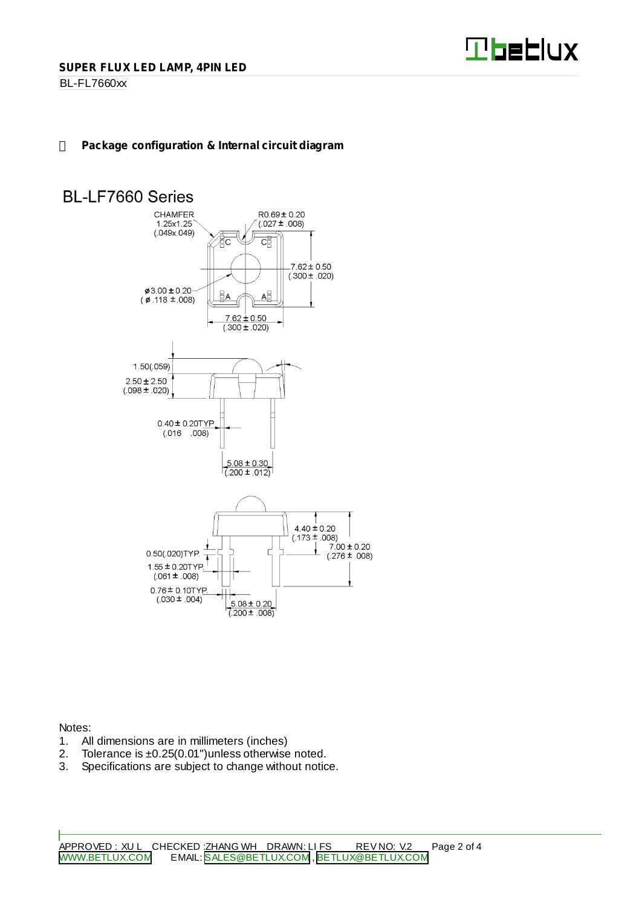

BL-FL7660xx

# **Package configuration & Internal circuit diagram**

# **BL-LF7660 Series**



Notes:

- 1. All dimensions are in millimeters (inches)<br>2. Tolerance is  $\pm 0.25(0.01)$  unless otherwise
- Tolerance is  $\pm 0.25(0.01")$ unless otherwise noted.
- 3. Specifications are subject to change without notice.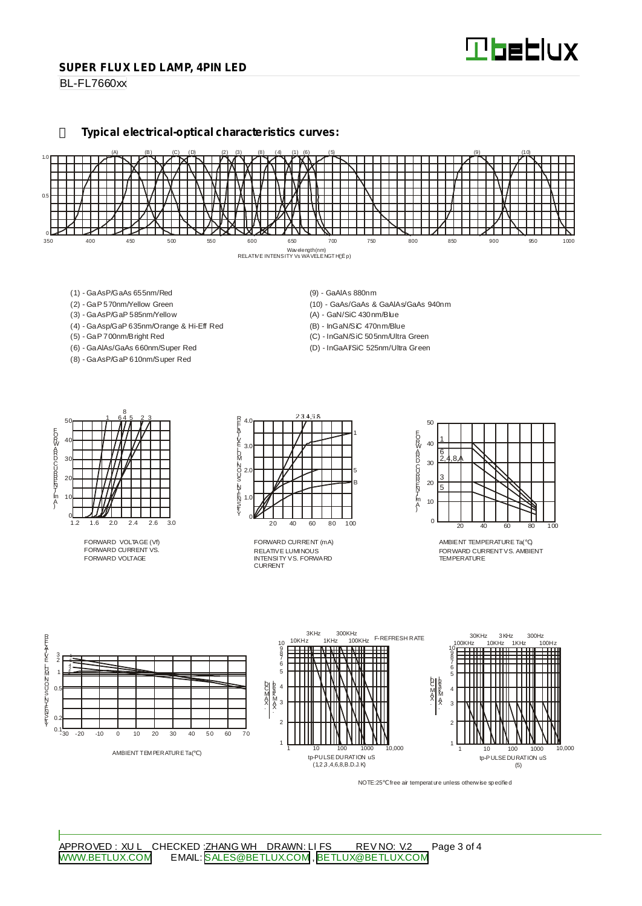#### **SUPER FLUX LED LAMP, 4PIN LED**

BL-FL7660xx

**Typical electrical-optical characteristics curves:**



- (1) GaAsP/GaAs 655nm/Red
- (2) GaP 570nm/Yellow Green
- (3) GaAsP/GaP 585nm/Yellow
- (4) GaAsp/GaP 635nm/Orange & Hi-Eff Red
- (5) GaP 700nm/Bright Red
- (6) GaAlAs/GaAs 660nm/Super Red (8) - GaAsP/GaP 610nm/Super Red
- (9) GaAlAs 880nm
- (10) GaAs/GaAs & GaAlAs/GaAs 940nm
- (A) GaN/SiC 430nm/Blue
- (B) InGaN/SiC 470nm/Blue
- (C) InGaN/SiC 505nm/Ultra Green (D) - InGaAl/SiC 525nm/Ultra Green

50 40 30  $\mathcal{D}$ 10  $rac{0}{1.2}$ 1.2 1.6 2.0 2.4 2.6 3.0 1 645 23 8 EORWARD CURRINT [mA]

FORWARD VOLTAGE (Vf) FORWARD CURRENT VS. FORWARD VOLTAGE



RELATIVE LUMINOUS INTENSITY VS. FORWARD CURRENT FORWARD CURRENT (mA)



AMBIENT TEMPERATURE Ta( ) FORWARD CURRENTVS. AMBIENT TEMPERATURE



NOTE:25 free air temperature unless otherwise specified